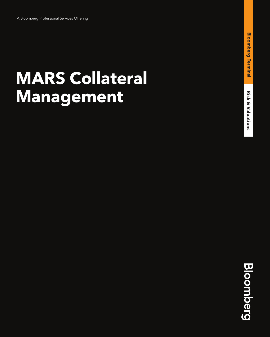# **MARS Collateral Management**

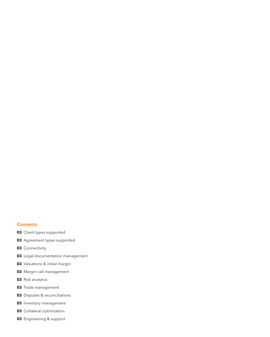#### **Contents**

- Client types supported
- Agreement types supported
- Connectivity
- Legal documentation management
- Valuations & initial margin
- Margin call management
- Risk analytics
- Trade management
- Disputes & reconciliations
- Inventory management
- Collateral optimization
- Engineering & support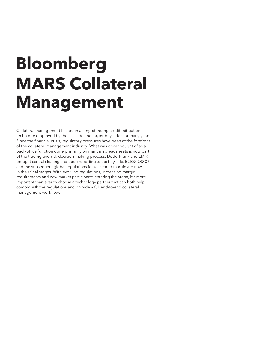# **Bloomberg MARS Collateral Management**

Collateral management has been a long-standing credit mitigation technique employed by the sell side and larger buy sides for many years. Since the financial crisis, regulatory pressures have been at the forefront of the collateral management industry. What was once thought of as a back-office function done primarily on manual spreadsheets is now part of the trading and risk decision-making process. Dodd-Frank and EMIR brought central clearing and trade reporting to the buy side. BCBS/IOSCO and the subsequent global regulations for uncleared margin are now in their final stages. With evolving regulations, increasing margin requirements and new market participants entering the arena, it's more important than ever to choose a technology partner that can both help comply with the regulations and provide a full end-to-end collateral management workflow.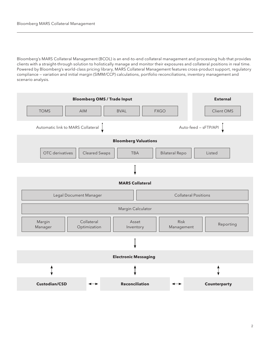Bloomberg's MARS Collateral Management (BCOL) is an end-to-end collateral management and processing hub that provides clients with a straight-through solution to holistically manage and monitor their exposures and collateral positions in real time. Powered by Bloomberg's world-class pricing library, MARS Collateral Management features cross-product support, regulatory compliance — variation and initial margin (SIMM/CCP) calculations, portfolio reconciliations, inventory management and scenario analysis.

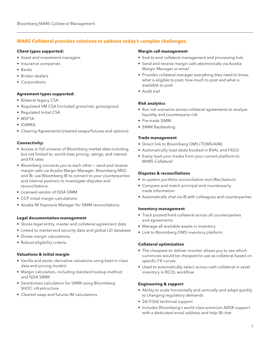## **MARS Collateral provides solutions to address today's complex challenges.**

#### **Client types supported:**

- Asset and investment managers
- Insurance companies
- Banks
- Broker-dealers
- Corporations

### **Agreement types supported:**

- Bilateral legacy CSA
- Regulated VM CSA (included gross/net, gross/gross)
- Regulated Initial CSA
- MSFTA
- (G)MRA
- Clearing Agreements (cleared swaps/futures and options)

### **Connectivity:**

- Access to full universe of Bloomberg market data including, but not limited to, world-class pricing, ratings, and interest and FX rates
- Bloomberg connects you to each other send and receive margin calls via Acadia Margin Manager, Bloomberg MSG and IB; use Bloomberg IB to connect to your counterparties and internal partners to investigate disputes and reconciliations
- Licensed vendor of ISDA SIMM
- CCP initial margin calculations
- Acadia IM Exposure Manager for SIMM reconciliations

### **Legal documentation management**

- Stores legal entity, master and collateral agreement data
- Linked to market and security data and global LEI database
- Drives margin calculations
- Robust eligibility criteria

### **Valuations & initial margin**

- Vanilla and exotic derivative valuations using best-in-class data and pricing models
- Margin calculation, including standard lookup method and ISDA SIMM
- Sensitivities calculation for SIMM using Bloomberg SHOC infrastructure
- Cleared swap and futures IM calculations

#### **Margin call management**

- End-to-end collateral management and processing hub
- Send and receive margin calls electronically via Acadia Margin Manager or email
- Provides collateral manager everything they need to know: what is eligible to post, how much to post and what is available to post
- Audit trail

### **Risk analytics**

- Run risk scenarios across collateral agreements to analyze liquidity and counterparty risk
- Pre-trade SIMM
- SIMM Backtesting

#### **Trade management**

- Direct link to Bloomberg OMS (TOMS/AIM)
- Automatically load deals booked in BVAL and FXGO
- Easily load your trades from your current platform to MARS Collateral

### **Disputes & reconciliations**

- In-system portfolio reconciliation tool (RecStation)
- Compare and match principal and counterparty trade information
- Automatically chat via IB with colleagues and counterparties

#### **Inventory management**

- Track posted/held collateral across all counterparties and agreements
- Manage all available assets in inventory
- Link to Bloomberg OMS inventory platform

### **Collateral optimization**

- The cheapest-to-deliver monitor allows you to see which currencies would be cheapest to use as collateral based on specific FX curves
- Used to automatically select across cash collateral in asset inventory in BCOL workflow

### **Engineering & support**

- Ability to scale horizontally and vertically and adapt quickly to changing regulatory demands
- 24/7/365 technical support
- Includes Bloomberg's world-class premium ADSK support with a dedicated email address and help IB chat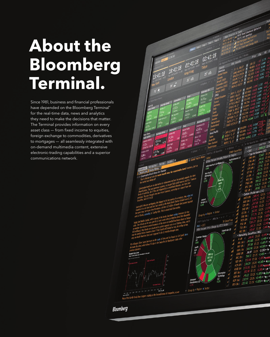## **About the Bloomberg Terminal.**

Since 1981, business and financial professionals have depended on the Bloomberg Terminal® for the real-time data, news and analytics they need to make the decisions that matter. The Terminal provides information on every asset class — from fixed income to equities, foreign exchange to commodities, derivatives to mortgages — all seamlessly integrated with on-demand multimedia content, extensive electronic-trading capabilities and a superior communications network.